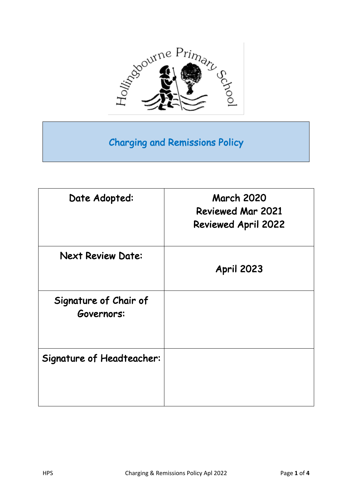

# Charging and Remissions Policy

| Date Adopted:                       | <b>March 2020</b><br><b>Reviewed Mar 2021</b><br><b>Reviewed April 2022</b> |
|-------------------------------------|-----------------------------------------------------------------------------|
| <b>Next Review Date:</b>            | <b>April 2023</b>                                                           |
| Signature of Chair of<br>Governors: |                                                                             |
| <b>Signature of Headteacher:</b>    |                                                                             |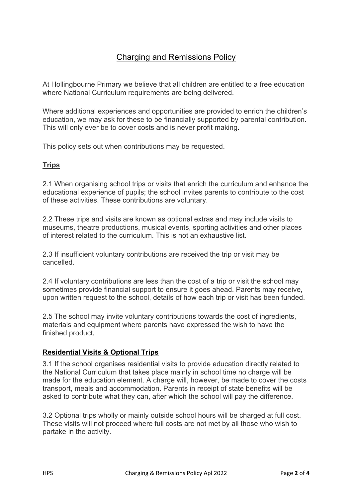# Charging and Remissions Policy

At Hollingbourne Primary we believe that all children are entitled to a free education where National Curriculum requirements are being delivered.

Where additional experiences and opportunities are provided to enrich the children's education, we may ask for these to be financially supported by parental contribution. This will only ever be to cover costs and is never profit making.

This policy sets out when contributions may be requested.

#### **Trips**

2.1 When organising school trips or visits that enrich the curriculum and enhance the educational experience of pupils; the school invites parents to contribute to the cost of these activities. These contributions are voluntary.

2.2 These trips and visits are known as optional extras and may include visits to museums, theatre productions, musical events, sporting activities and other places of interest related to the curriculum. This is not an exhaustive list.

2.3 If insufficient voluntary contributions are received the trip or visit may be cancelled.

2.4 If voluntary contributions are less than the cost of a trip or visit the school may sometimes provide financial support to ensure it goes ahead. Parents may receive, upon written request to the school, details of how each trip or visit has been funded.

2.5 The school may invite voluntary contributions towards the cost of ingredients, materials and equipment where parents have expressed the wish to have the finished product.

# **Residential Visits & Optional Trips**

3.1 If the school organises residential visits to provide education directly related to the National Curriculum that takes place mainly in school time no charge will be made for the education element. A charge will, however, be made to cover the costs transport, meals and accommodation. Parents in receipt of state benefits will be asked to contribute what they can, after which the school will pay the difference.

3.2 Optional trips wholly or mainly outside school hours will be charged at full cost. These visits will not proceed where full costs are not met by all those who wish to partake in the activity.